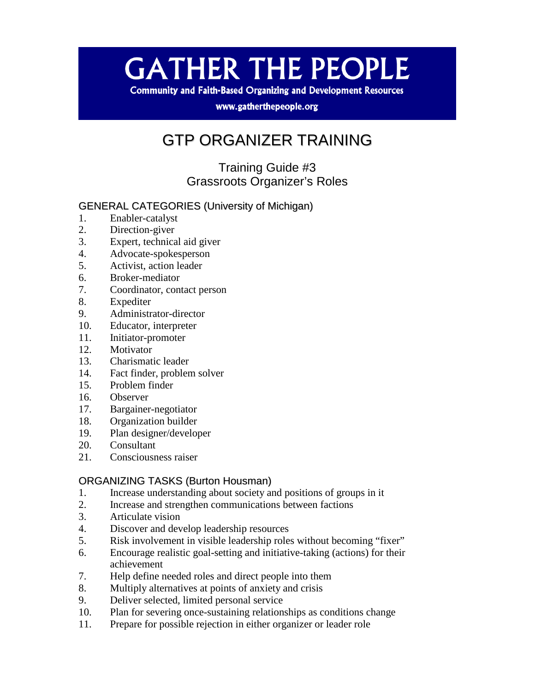# **GATHER THE PEOPLE**

**Community and Faith-Based Organizing and Development Resources** 

www.gatherthepeople.org

# GTP ORGANIZER TRAINING

Training Guide #3 Grassroots Organizer's Roles

# GENERAL CATEGORIES (University of Michigan)

- 1. Enabler-catalyst
- 2. Direction-giver
- 3. Expert, technical aid giver
- 4. Advocate-spokesperson
- 5. Activist, action leader
- 6. Broker-mediator
- 7. Coordinator, contact person
- 8. Expediter
- 9. Administrator-director
- 10. Educator, interpreter
- 11. Initiator-promoter
- 12. Motivator
- 13. Charismatic leader
- 14. Fact finder, problem solver
- 15. Problem finder
- 16. Observer
- 17. Bargainer-negotiator
- 18. Organization builder
- 19. Plan designer/developer
- 20. Consultant
- 21. Consciousness raiser

#### ORGANIZING TASKS (Burton Housman)

- 1. Increase understanding about society and positions of groups in it
- 2. Increase and strengthen communications between factions
- 3. Articulate vision
- 4. Discover and develop leadership resources
- 5. Risk involvement in visible leadership roles without becoming "fixer"
- 6. Encourage realistic goal-setting and initiative-taking (actions) for their achievement
- 7. Help define needed roles and direct people into them
- 8. Multiply alternatives at points of anxiety and crisis
- 9. Deliver selected, limited personal service
- 10. Plan for severing once-sustaining relationships as conditions change
- 11. Prepare for possible rejection in either organizer or leader role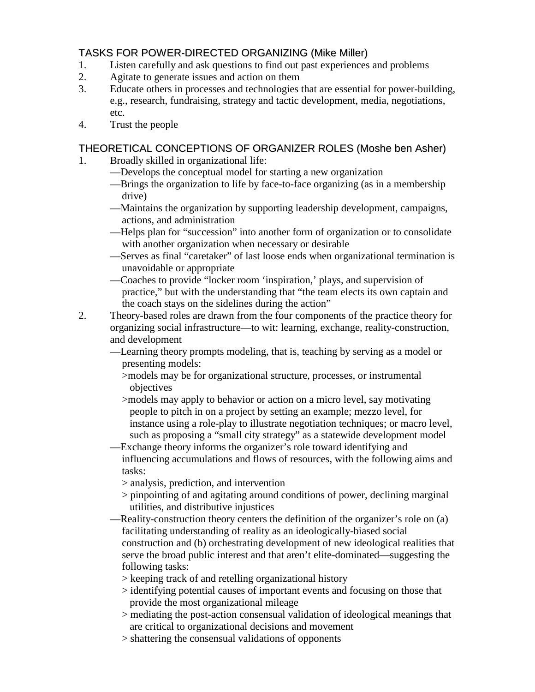# TASKS FOR POWER-DIRECTED ORGANIZING (Mike Miller)

- 1. Listen carefully and ask questions to find out past experiences and problems
- 2. Agitate to generate issues and action on them
- 3. Educate others in processes and technologies that are essential for power-building, e.g., research, fundraising, strategy and tactic development, media, negotiations, etc.
- 4. Trust the people

## THEORETICAL CONCEPTIONS OF ORGANIZER ROLES (Moshe ben Asher)

- 1. Broadly skilled in organizational life:
	- —Develops the conceptual model for starting a new organization
	- —Brings the organization to life by face-to-face organizing (as in a membership drive)
	- —Maintains the organization by supporting leadership development, campaigns, actions, and administration
	- —Helps plan for "succession" into another form of organization or to consolidate with another organization when necessary or desirable
	- —Serves as final "caretaker" of last loose ends when organizational termination is unavoidable or appropriate
	- —Coaches to provide "locker room 'inspiration,' plays, and supervision of practice," but with the understanding that "the team elects its own captain and the coach stays on the sidelines during the action"
- 2. Theory-based roles are drawn from the four components of the practice theory for organizing social infrastructure—to wit: learning, exchange, reality-construction, and development
	- —Learning theory prompts modeling, that is, teaching by serving as a model or presenting models:
		- >models may be for organizational structure, processes, or instrumental objectives
		- >models may apply to behavior or action on a micro level, say motivating people to pitch in on a project by setting an example; mezzo level, for instance using a role-play to illustrate negotiation techniques; or macro level, such as proposing a "small city strategy" as a statewide development model
	- —Exchange theory informs the organizer's role toward identifying and influencing accumulations and flows of resources, with the following aims and tasks:
		- > analysis, prediction, and intervention
		- > pinpointing of and agitating around conditions of power, declining marginal utilities, and distributive injustices
	- —Reality-construction theory centers the definition of the organizer's role on (a) facilitating understanding of reality as an ideologically-biased social construction and (b) orchestrating development of new ideological realities that serve the broad public interest and that aren't elite-dominated—suggesting the following tasks:
		- > keeping track of and retelling organizational history
		- > identifying potential causes of important events and focusing on those that provide the most organizational mileage
		- > mediating the post-action consensual validation of ideological meanings that are critical to organizational decisions and movement
		- > shattering the consensual validations of opponents